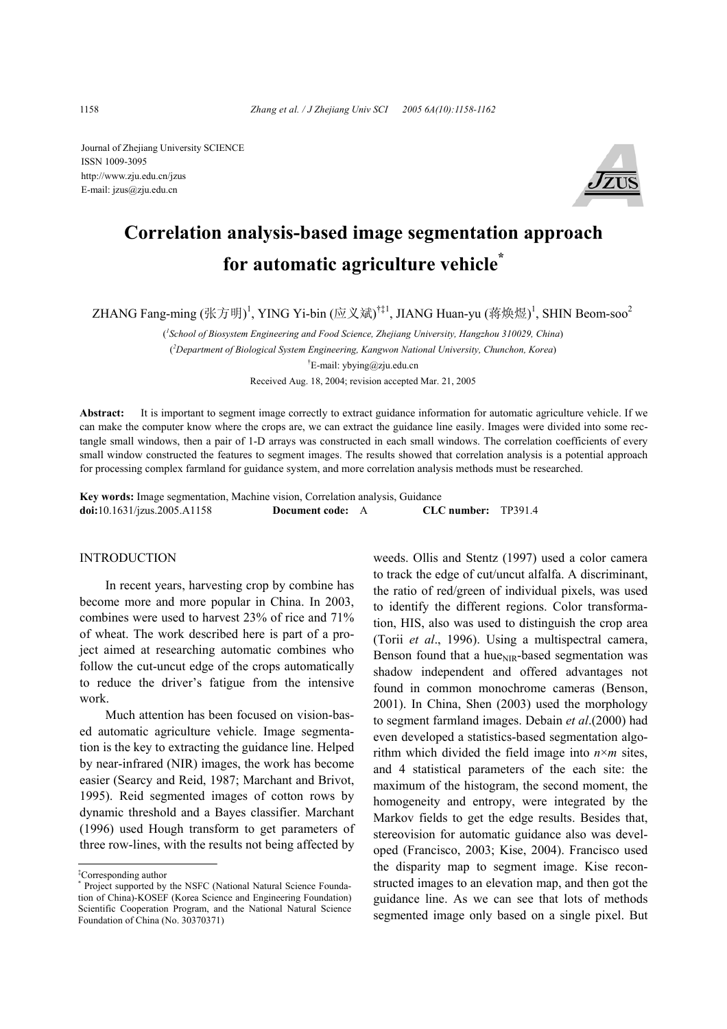Journal of Zhejiang University SCIENCE ISSN 1009-3095 http://www.zju.edu.cn/jzus E-mail: jzus@zju.edu.cn



# **Correlation analysis-based image segmentation approach for automatic agriculture vehicle\***

ZHANG Fang-ming (张方明)<sup>1</sup>, YING Yi-bin (应义斌)<sup>†‡1</sup>, JIANG Huan-yu (蒋焕煜)<sup>1</sup>, SHIN Beom-soo<sup>2</sup>

( *1 School of Biosystem Engineering and Food Science, Zhejiang University, Hangzhou 310029, China*) ( *2 Department of Biological System Engineering, Kangwon National University, Chunchon, Korea*) † E-mail: ybying@zju.edu.cn Received Aug. 18, 2004; revision accepted Mar. 21, 2005

**Abstract:** It is important to segment image correctly to extract guidance information for automatic agriculture vehicle. If we can make the computer know where the crops are, we can extract the guidance line easily. Images were divided into some rectangle small windows, then a pair of 1-D arrays was constructed in each small windows. The correlation coefficients of every small window constructed the features to segment images. The results showed that correlation analysis is a potential approach for processing complex farmland for guidance system, and more correlation analysis methods must be researched.

**Key words:** Image segmentation, Machine vision, Correlation analysis, Guidance **doi:**10.1631/jzus.2005.A1158 **Document code:** A **CLC number:** TP391.4

## INTRODUCTION

In recent years, harvesting crop by combine has become more and more popular in China. In 2003, combines were used to harvest 23% of rice and 71% of wheat. The work described here is part of a project aimed at researching automatic combines who follow the cut-uncut edge of the crops automatically to reduce the driver's fatigue from the intensive work.

Much attention has been focused on vision-based automatic agriculture vehicle. Image segmentation is the key to extracting the guidance line. Helped by near-infrared (NIR) images, the work has become easier (Searcy and Reid, 1987; Marchant and Brivot, 1995). Reid segmented images of cotton rows by dynamic threshold and a Bayes classifier. Marchant (1996) used Hough transform to get parameters of three row-lines, with the results not being affected by

weeds. Ollis and Stentz (1997) used a color camera to track the edge of cut/uncut alfalfa. A discriminant, the ratio of red/green of individual pixels, was used to identify the different regions. Color transformation, HIS, also was used to distinguish the crop area (Torii *et al*., 1996). Using a multispectral camera, Benson found that a hue $_{\text{NIR}}$ -based segmentation was shadow independent and offered advantages not found in common monochrome cameras (Benson, 2001). In China, Shen (2003) used the morphology to segment farmland images. Debain *et al*.(2000) had even developed a statistics-based segmentation algorithm which divided the field image into  $n \times m$  sites, and 4 statistical parameters of the each site: the maximum of the histogram, the second moment, the homogeneity and entropy, were integrated by the Markov fields to get the edge results. Besides that, stereovision for automatic guidance also was developed (Francisco, 2003; Kise, 2004). Francisco used the disparity map to segment image. Kise reconstructed images to an elevation map, and then got the guidance line. As we can see that lots of methods segmented image only based on a single pixel. But

<sup>‡</sup> Corresponding author

<sup>\*</sup> Project supported by the NSFC (National Natural Science Foundation of China)-KOSEF (Korea Science and Engineering Foundation) Scientific Cooperation Program, and the National Natural Science Foundation of China (No. 30370371)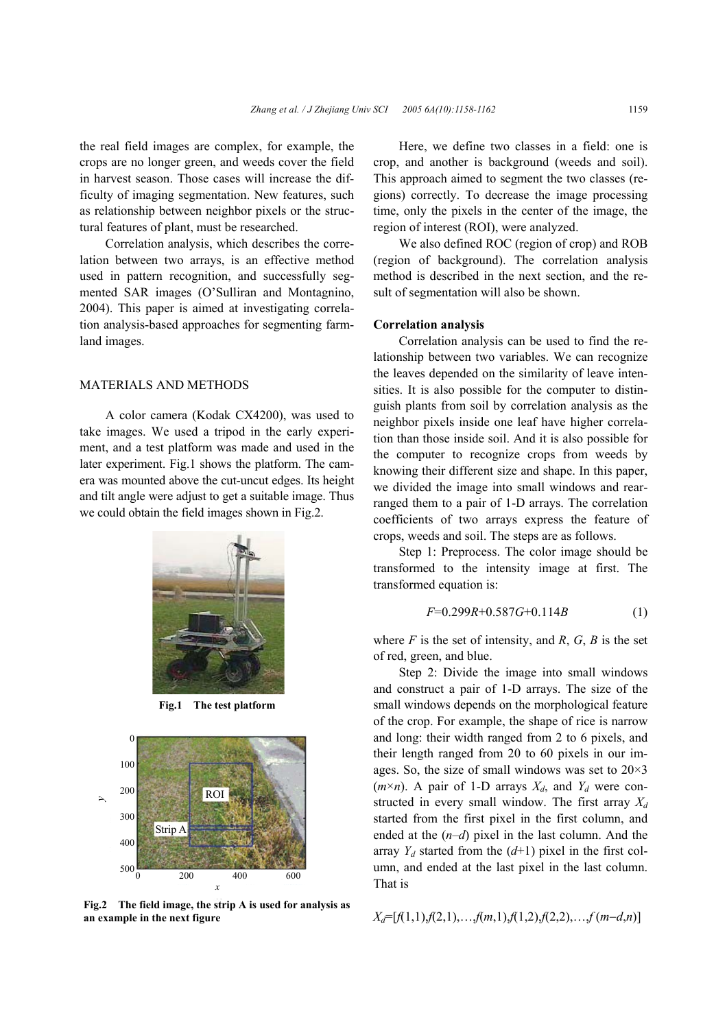the real field images are complex, for example, the crops are no longer green, and weeds cover the field in harvest season. Those cases will increase the difficulty of imaging segmentation. New features, such as relationship between neighbor pixels or the structural features of plant, must be researched.

Correlation analysis, which describes the correlation between two arrays, is an effective method used in pattern recognition, and successfully segmented SAR images (O'Sulliran and Montagnino, 2004). This paper is aimed at investigating correlation analysis-based approaches for segmenting farmland images.

# MATERIALS AND METHODS

A color camera (Kodak CX4200), was used to take images. We used a tripod in the early experiment, and a test platform was made and used in the later experiment. Fig.1 shows the platform. The camera was mounted above the cut-uncut edges. Its height and tilt angle were adjust to get a suitable image. Thus we could obtain the field images shown in Fig.2.



**Fig.1 The test platform** 



**Fig.2 The field image, the strip A is used for analysis as an example in the next figure** 

Here, we define two classes in a field: one is crop, and another is background (weeds and soil). This approach aimed to segment the two classes (regions) correctly. To decrease the image processing time, only the pixels in the center of the image, the region of interest (ROI), were analyzed.

We also defined ROC (region of crop) and ROB (region of background). The correlation analysis method is described in the next section, and the result of segmentation will also be shown.

#### **Correlation analysis**

Correlation analysis can be used to find the relationship between two variables. We can recognize the leaves depended on the similarity of leave intensities. It is also possible for the computer to distinguish plants from soil by correlation analysis as the neighbor pixels inside one leaf have higher correlation than those inside soil. And it is also possible for the computer to recognize crops from weeds by knowing their different size and shape. In this paper, we divided the image into small windows and rearranged them to a pair of 1-D arrays. The correlation coefficients of two arrays express the feature of crops, weeds and soil. The steps are as follows.

Step 1: Preprocess. The color image should be transformed to the intensity image at first. The transformed equation is:

$$
F=0.299R+0.587G+0.114B\tag{1}
$$

where  $F$  is the set of intensity, and  $R$ ,  $G$ ,  $B$  is the set of red, green, and blue.

Step 2: Divide the image into small windows and construct a pair of 1-D arrays. The size of the small windows depends on the morphological feature of the crop. For example, the shape of rice is narrow and long: their width ranged from 2 to 6 pixels, and their length ranged from 20 to 60 pixels in our images. So, the size of small windows was set to  $20\times3$  $(m \times n)$ . A pair of 1-D arrays  $X_d$ , and  $Y_d$  were constructed in every small window. The first array  $X_d$ started from the first pixel in the first column, and ended at the (*n*–*d*) pixel in the last column. And the array  $Y_d$  started from the  $(d+1)$  pixel in the first column, and ended at the last pixel in the last column. That is

*Xd*=[*f*(1,1),*f*(2,1),…,*f*(*m*,1),*f*(1,2),*f*(2,2),…,*f* (*m*−*d*,*n*)]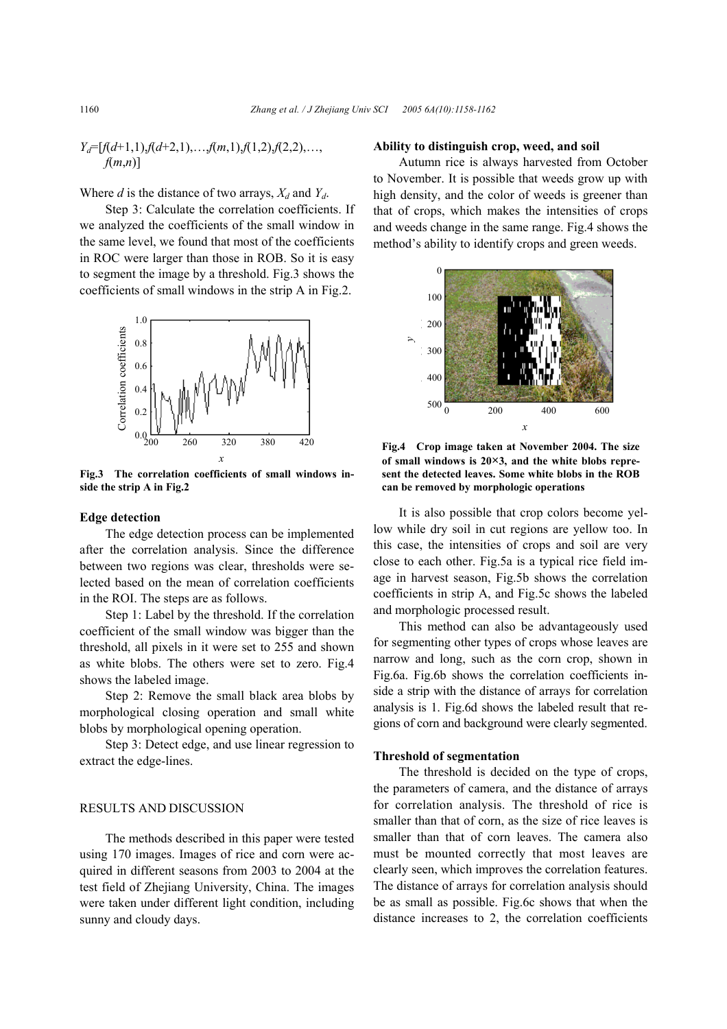$$
Y_d = [f(d+1,1), f(d+2,1), \ldots, f(m,1), f(1,2), f(2,2), \ldots, f(m,n)]
$$

Where  $d$  is the distance of two arrays,  $X_d$  and  $Y_d$ .

Step 3: Calculate the correlation coefficients. If we analyzed the coefficients of the small window in the same level, we found that most of the coefficients in ROC were larger than those in ROB. So it is easy to segment the image by a threshold. Fig.3 shows the coefficients of small windows in the strip A in Fig.2.



**Fig.3 The correlation coefficients of small windows inside the strip A in Fig.2** 

#### **Edge detection**

The edge detection process can be implemented after the correlation analysis. Since the difference between two regions was clear, thresholds were selected based on the mean of correlation coefficients in the ROI. The steps are as follows.

Step 1: Label by the threshold. If the correlation coefficient of the small window was bigger than the threshold, all pixels in it were set to 255 and shown as white blobs. The others were set to zero. Fig.4 shows the labeled image.

Step 2: Remove the small black area blobs by morphological closing operation and small white blobs by morphological opening operation.

Step 3: Detect edge, and use linear regression to extract the edge-lines.

## RESULTS AND DISCUSSION

The methods described in this paper were tested using 170 images. Images of rice and corn were acquired in different seasons from 2003 to 2004 at the test field of Zhejiang University, China. The images were taken under different light condition, including sunny and cloudy days.

#### **Ability to distinguish crop, weed, and soil**

Autumn rice is always harvested from October to November. It is possible that weeds grow up with high density, and the color of weeds is greener than that of crops, which makes the intensities of crops and weeds change in the same range. Fig.4 shows the method's ability to identify crops and green weeds.



**Fig.4 Crop image taken at November 2004. The size of small windows is 20×3, and the white blobs represent the detected leaves. Some white blobs in the ROB can be removed by morphologic operations**

It is also possible that crop colors become yellow while dry soil in cut regions are yellow too. In this case, the intensities of crops and soil are very close to each other. Fig.5a is a typical rice field image in harvest season, Fig.5b shows the correlation coefficients in strip A, and Fig.5c shows the labeled and morphologic processed result.

This method can also be advantageously used for segmenting other types of crops whose leaves are narrow and long, such as the corn crop, shown in Fig.6a. Fig.6b shows the correlation coefficients inside a strip with the distance of arrays for correlation analysis is 1. Fig.6d shows the labeled result that regions of corn and background were clearly segmented.

## **Threshold of segmentation**

The threshold is decided on the type of crops, the parameters of camera, and the distance of arrays for correlation analysis. The threshold of rice is smaller than that of corn, as the size of rice leaves is smaller than that of corn leaves. The camera also must be mounted correctly that most leaves are clearly seen, which improves the correlation features. The distance of arrays for correlation analysis should be as small as possible. Fig.6c shows that when the distance increases to 2, the correlation coefficients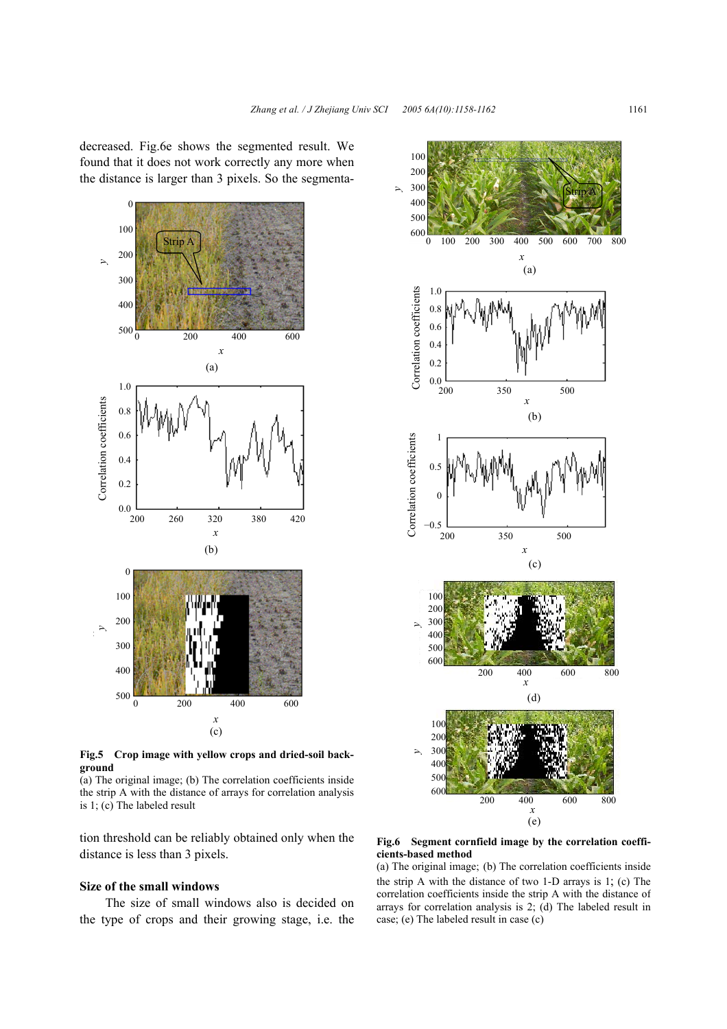decreased. Fig.6e shows the segmented result. We found that it does not work correctly any more when the distance is larger than 3 pixels. So the segmenta-



**Fig.5 Crop image with yellow crops and dried-soil background** 

(a) The original image; (b) The correlation coefficients inside the strip A with the distance of arrays for correlation analysis is 1; (c) The labeled result

tion threshold can be reliably obtained only when the distance is less than 3 pixels.

## **Size of the small windows**

The size of small windows also is decided on the type of crops and their growing stage, i.e. the



**Fig.6 Segment cornfield image by the correlation coefficients-based method** 

(a) The original image; (b) The correlation coefficients inside the strip A with the distance of two 1-D arrays is 1; (c) The correlation coefficients inside the strip A with the distance of arrays for correlation analysis is 2; (d) The labeled result in case; (e) The labeled result in case (c)